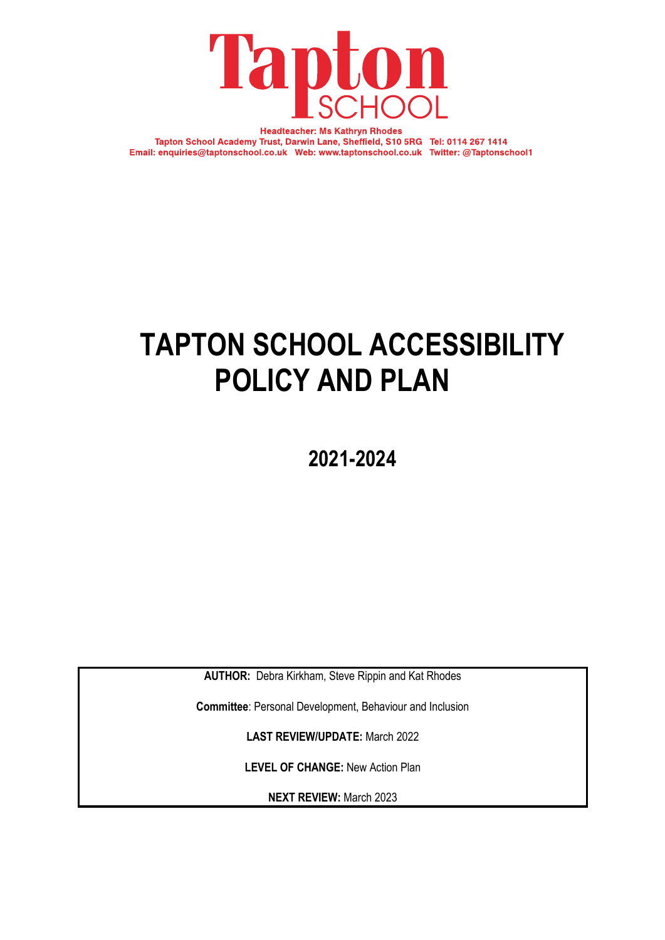

**Headteacher: Ms Kathryn Rhodes** Tapton School Academy Trust, Darwin Lane, Sheffield, S10 5RG Tel: 0114 267 1414 Email: enquiries@taptonschool.co.uk Web: www.taptonschool.co.uk Twitter: @Taptonschool1

# **TAPTON SCHOOL ACCESSIBILITY POLICY AND PLAN**

**2021-2024**

**AUTHOR:** Debra Kirkham, Steve Rippin and Kat Rhodes

**Committee**: Personal Development, Behaviour and Inclusion

**LAST REVIEW/UPDATE:** March 2022

**LEVEL OF CHANGE:** New Action Plan

**NEXT REVIEW:** March 2023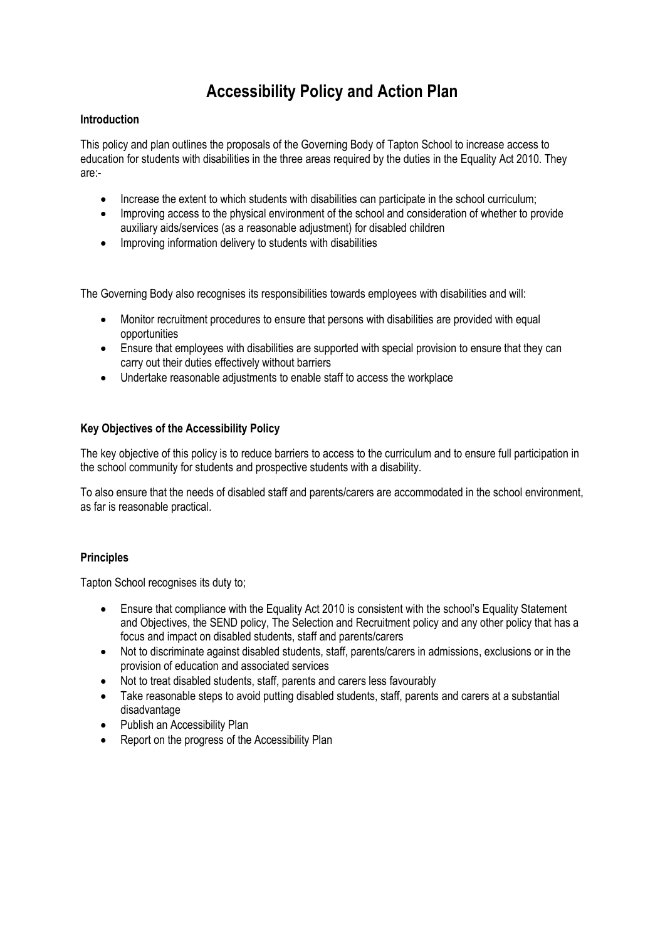# **Accessibility Policy and Action Plan**

# **Introduction**

This policy and plan outlines the proposals of the Governing Body of Tapton School to increase access to education for students with disabilities in the three areas required by the duties in the Equality Act 2010. They are:-

- Increase the extent to which students with disabilities can participate in the school curriculum;
- Improving access to the physical environment of the school and consideration of whether to provide auxiliary aids/services (as a reasonable adjustment) for disabled children
- Improving information delivery to students with disabilities

The Governing Body also recognises its responsibilities towards employees with disabilities and will:

- Monitor recruitment procedures to ensure that persons with disabilities are provided with equal opportunities
- Ensure that employees with disabilities are supported with special provision to ensure that they can carry out their duties effectively without barriers
- Undertake reasonable adjustments to enable staff to access the workplace

# **Key Objectives of the Accessibility Policy**

The key objective of this policy is to reduce barriers to access to the curriculum and to ensure full participation in the school community for students and prospective students with a disability.

To also ensure that the needs of disabled staff and parents/carers are accommodated in the school environment, as far is reasonable practical.

# **Principles**

Tapton School recognises its duty to;

- Ensure that compliance with the Equality Act 2010 is consistent with the school's Equality Statement and Objectives, the SEND policy, The Selection and Recruitment policy and any other policy that has a focus and impact on disabled students, staff and parents/carers
- Not to discriminate against disabled students, staff, parents/carers in admissions, exclusions or in the provision of education and associated services
- Not to treat disabled students, staff, parents and carers less favourably
- Take reasonable steps to avoid putting disabled students, staff, parents and carers at a substantial disadvantage
- Publish an Accessibility Plan
- Report on the progress of the Accessibility Plan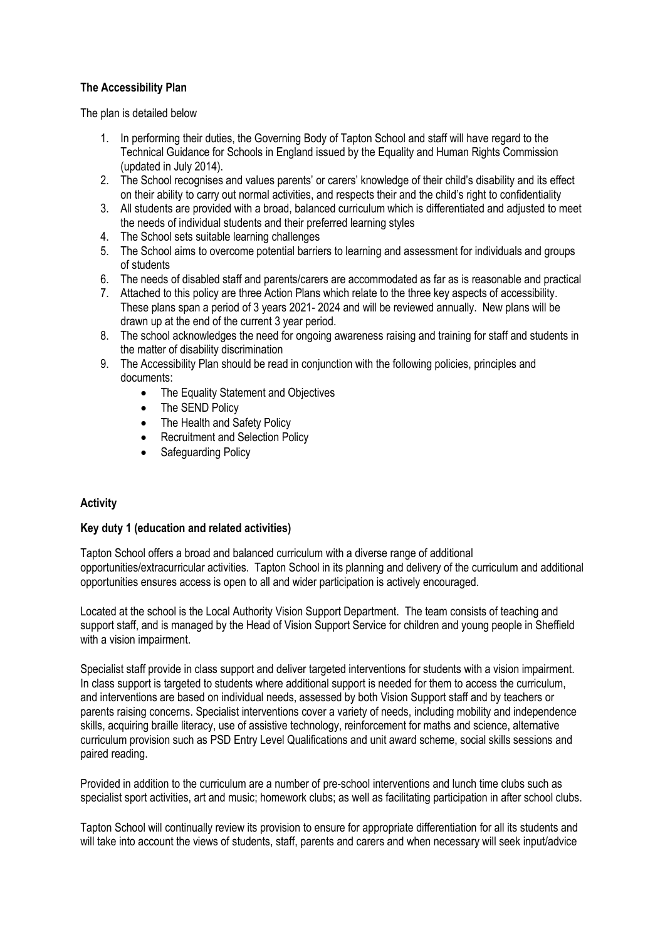# **The Accessibility Plan**

The plan is detailed below

- 1. In performing their duties, the Governing Body of Tapton School and staff will have regard to the Technical Guidance for Schools in England issued by the Equality and Human Rights Commission (updated in July 2014).
- 2. The School recognises and values parents' or carers' knowledge of their child's disability and its effect on their ability to carry out normal activities, and respects their and the child's right to confidentiality
- 3. All students are provided with a broad, balanced curriculum which is differentiated and adjusted to meet the needs of individual students and their preferred learning styles
- 4. The School sets suitable learning challenges
- 5. The School aims to overcome potential barriers to learning and assessment for individuals and groups of students
- 6. The needs of disabled staff and parents/carers are accommodated as far as is reasonable and practical
- 7. Attached to this policy are three Action Plans which relate to the three key aspects of accessibility. These plans span a period of 3 years 2021- 2024 and will be reviewed annually. New plans will be drawn up at the end of the current 3 year period.
- 8. The school acknowledges the need for ongoing awareness raising and training for staff and students in the matter of disability discrimination
- 9. The Accessibility Plan should be read in conjunction with the following policies, principles and documents:
	- The Equality Statement and Objectives
	- The SEND Policy
	- The Health and Safety Policy
	- Recruitment and Selection Policy
	- Safeguarding Policy

# **Activity**

# **Key duty 1 (education and related activities)**

Tapton School offers a broad and balanced curriculum with a diverse range of additional opportunities/extracurricular activities. Tapton School in its planning and delivery of the curriculum and additional opportunities ensures access is open to all and wider participation is actively encouraged.

Located at the school is the Local Authority Vision Support Department. The team consists of teaching and support staff, and is managed by the Head of Vision Support Service for children and young people in Sheffield with a vision impairment.

Specialist staff provide in class support and deliver targeted interventions for students with a vision impairment. In class support is targeted to students where additional support is needed for them to access the curriculum, and interventions are based on individual needs, assessed by both Vision Support staff and by teachers or parents raising concerns. Specialist interventions cover a variety of needs, including mobility and independence skills, acquiring braille literacy, use of assistive technology, reinforcement for maths and science, alternative curriculum provision such as PSD Entry Level Qualifications and unit award scheme, social skills sessions and paired reading.

Provided in addition to the curriculum are a number of pre-school interventions and lunch time clubs such as specialist sport activities, art and music; homework clubs; as well as facilitating participation in after school clubs.

Tapton School will continually review its provision to ensure for appropriate differentiation for all its students and will take into account the views of students, staff, parents and carers and when necessary will seek input/advice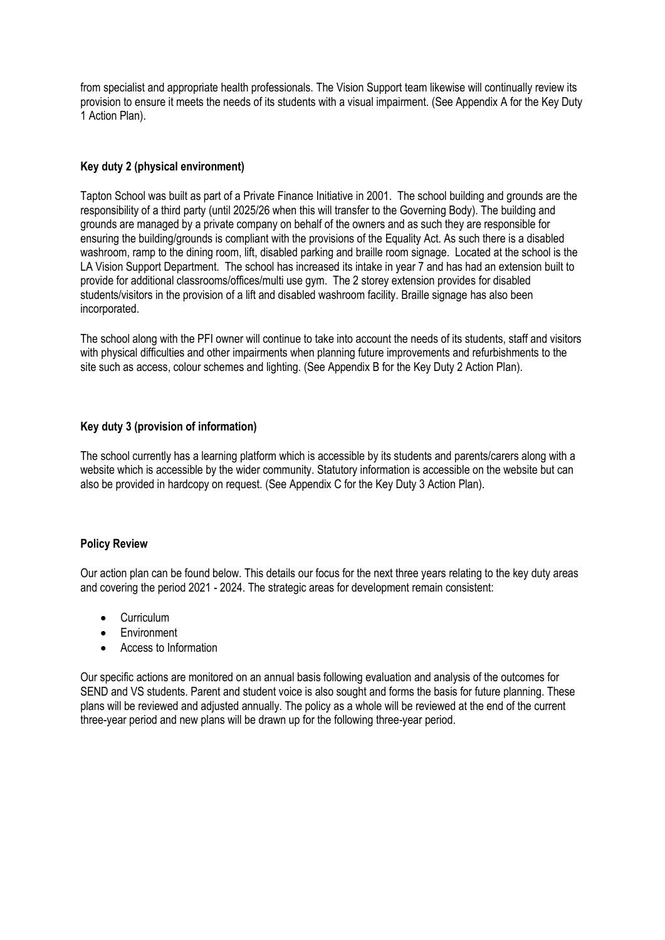from specialist and appropriate health professionals. The Vision Support team likewise will continually review its provision to ensure it meets the needs of its students with a visual impairment. (See Appendix A for the Key Duty 1 Action Plan).

# **Key duty 2 (physical environment)**

Tapton School was built as part of a Private Finance Initiative in 2001. The school building and grounds are the responsibility of a third party (until 2025/26 when this will transfer to the Governing Body). The building and grounds are managed by a private company on behalf of the owners and as such they are responsible for ensuring the building/grounds is compliant with the provisions of the Equality Act. As such there is a disabled washroom, ramp to the dining room, lift, disabled parking and braille room signage. Located at the school is the LA Vision Support Department. The school has increased its intake in year 7 and has had an extension built to provide for additional classrooms/offices/multi use gym. The 2 storey extension provides for disabled students/visitors in the provision of a lift and disabled washroom facility. Braille signage has also been incorporated.

The school along with the PFI owner will continue to take into account the needs of its students, staff and visitors with physical difficulties and other impairments when planning future improvements and refurbishments to the site such as access, colour schemes and lighting. (See Appendix B for the Key Duty 2 Action Plan).

### **Key duty 3 (provision of information)**

The school currently has a learning platform which is accessible by its students and parents/carers along with a website which is accessible by the wider community. Statutory information is accessible on the website but can also be provided in hardcopy on request. (See Appendix C for the Key Duty 3 Action Plan).

### **Policy Review**

Our action plan can be found below. This details our focus for the next three years relating to the key duty areas and covering the period 2021 - 2024. The strategic areas for development remain consistent:

- Curriculum
- Environment
- Access to Information

Our specific actions are monitored on an annual basis following evaluation and analysis of the outcomes for SEND and VS students. Parent and student voice is also sought and forms the basis for future planning. These plans will be reviewed and adjusted annually. The policy as a whole will be reviewed at the end of the current three-year period and new plans will be drawn up for the following three-year period.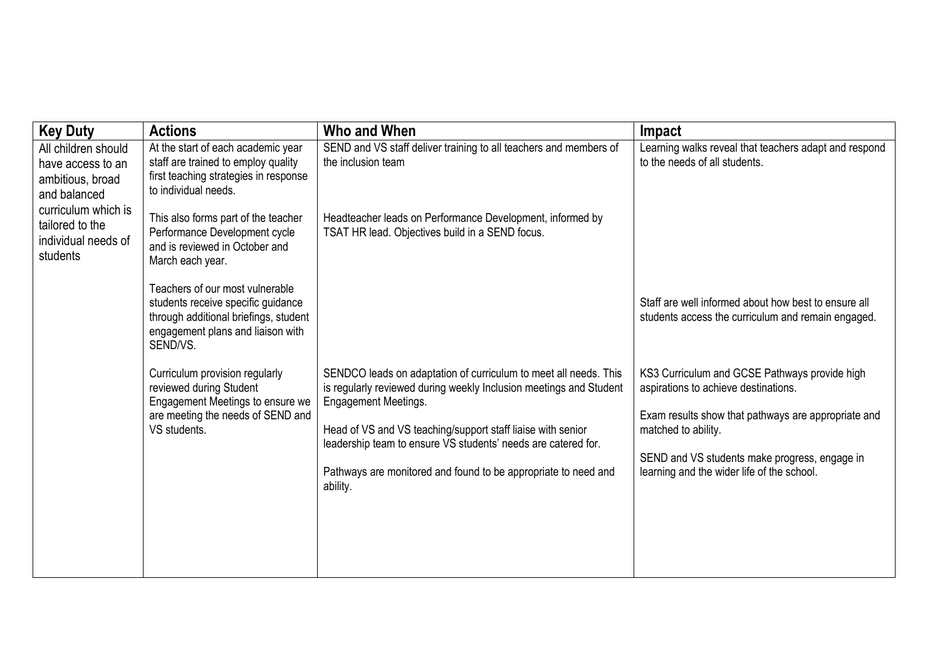| <b>Key Duty</b>                                                              | <b>Actions</b>                                                                                                                                                  | Who and When                                                                                                                                                                                                                         | Impact                                                                                                                                                              |
|------------------------------------------------------------------------------|-----------------------------------------------------------------------------------------------------------------------------------------------------------------|--------------------------------------------------------------------------------------------------------------------------------------------------------------------------------------------------------------------------------------|---------------------------------------------------------------------------------------------------------------------------------------------------------------------|
| All children should<br>have access to an<br>ambitious, broad<br>and balanced | At the start of each academic year<br>staff are trained to employ quality<br>first teaching strategies in response<br>to individual needs.                      | SEND and VS staff deliver training to all teachers and members of<br>the inclusion team                                                                                                                                              | Learning walks reveal that teachers adapt and respond<br>to the needs of all students.                                                                              |
| curriculum which is<br>tailored to the<br>individual needs of<br>students    | This also forms part of the teacher<br>Performance Development cycle<br>and is reviewed in October and<br>March each year.                                      | Headteacher leads on Performance Development, informed by<br>TSAT HR lead. Objectives build in a SEND focus.                                                                                                                         |                                                                                                                                                                     |
|                                                                              | Teachers of our most vulnerable<br>students receive specific guidance<br>through additional briefings, student<br>engagement plans and liaison with<br>SEND/VS. |                                                                                                                                                                                                                                      | Staff are well informed about how best to ensure all<br>students access the curriculum and remain engaged.                                                          |
|                                                                              | Curriculum provision regularly<br>reviewed during Student<br>Engagement Meetings to ensure we<br>are meeting the needs of SEND and<br>VS students.              | SENDCO leads on adaptation of curriculum to meet all needs. This<br>is regularly reviewed during weekly Inclusion meetings and Student<br><b>Engagement Meetings.</b><br>Head of VS and VS teaching/support staff liaise with senior | KS3 Curriculum and GCSE Pathways provide high<br>aspirations to achieve destinations.<br>Exam results show that pathways are appropriate and<br>matched to ability. |
|                                                                              |                                                                                                                                                                 | leadership team to ensure VS students' needs are catered for.<br>Pathways are monitored and found to be appropriate to need and<br>ability.                                                                                          | SEND and VS students make progress, engage in<br>learning and the wider life of the school.                                                                         |
|                                                                              |                                                                                                                                                                 |                                                                                                                                                                                                                                      |                                                                                                                                                                     |
|                                                                              |                                                                                                                                                                 |                                                                                                                                                                                                                                      |                                                                                                                                                                     |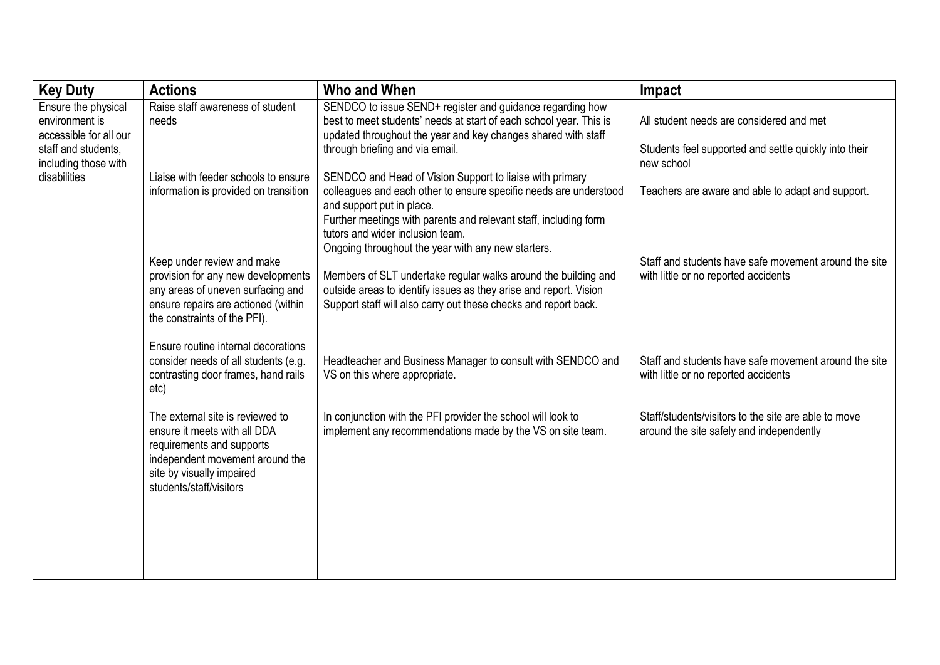| <b>Key Duty</b>                                                                                                | <b>Actions</b>                                                                                                                                                                           | Who and When                                                                                                                                                                                                                                                                                                             | Impact                                                                                                          |
|----------------------------------------------------------------------------------------------------------------|------------------------------------------------------------------------------------------------------------------------------------------------------------------------------------------|--------------------------------------------------------------------------------------------------------------------------------------------------------------------------------------------------------------------------------------------------------------------------------------------------------------------------|-----------------------------------------------------------------------------------------------------------------|
| Ensure the physical<br>environment is<br>accessible for all our<br>staff and students,<br>including those with | Raise staff awareness of student<br>needs                                                                                                                                                | SENDCO to issue SEND+ register and guidance regarding how<br>best to meet students' needs at start of each school year. This is<br>updated throughout the year and key changes shared with staff<br>through briefing and via email.                                                                                      | All student needs are considered and met<br>Students feel supported and settle quickly into their<br>new school |
| disabilities                                                                                                   | Liaise with feeder schools to ensure<br>information is provided on transition                                                                                                            | SENDCO and Head of Vision Support to liaise with primary<br>colleagues and each other to ensure specific needs are understood<br>and support put in place.<br>Further meetings with parents and relevant staff, including form<br>tutors and wider inclusion team.<br>Ongoing throughout the year with any new starters. | Teachers are aware and able to adapt and support.                                                               |
|                                                                                                                | Keep under review and make<br>provision for any new developments<br>any areas of uneven surfacing and<br>ensure repairs are actioned (within<br>the constraints of the PFI).             | Members of SLT undertake regular walks around the building and<br>outside areas to identify issues as they arise and report. Vision<br>Support staff will also carry out these checks and report back.                                                                                                                   | Staff and students have safe movement around the site<br>with little or no reported accidents                   |
|                                                                                                                | Ensure routine internal decorations<br>consider needs of all students (e.g.<br>contrasting door frames, hand rails<br>etc)                                                               | Headteacher and Business Manager to consult with SENDCO and<br>VS on this where appropriate.                                                                                                                                                                                                                             | Staff and students have safe movement around the site<br>with little or no reported accidents                   |
|                                                                                                                | The external site is reviewed to<br>ensure it meets with all DDA<br>requirements and supports<br>independent movement around the<br>site by visually impaired<br>students/staff/visitors | In conjunction with the PFI provider the school will look to<br>implement any recommendations made by the VS on site team.                                                                                                                                                                                               | Staff/students/visitors to the site are able to move<br>around the site safely and independently                |
|                                                                                                                |                                                                                                                                                                                          |                                                                                                                                                                                                                                                                                                                          |                                                                                                                 |